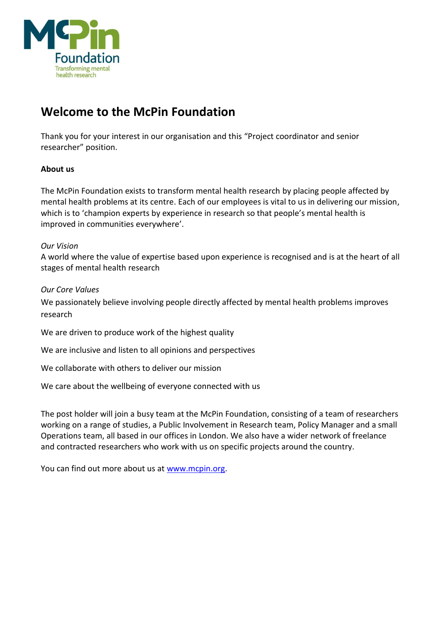

# **Welcome to the McPin Foundation**

Thank you for your interest in our organisation and this "Project coordinator and senior researcher" position.

# **About us**

The McPin Foundation exists to transform mental health research by placing people affected by mental health problems at its centre. Each of our employees is vital to us in delivering our mission, which is to 'champion experts by experience in research so that people's mental health is improved in communities everywhere'.

## *Our Vision*

A world where the value of expertise based upon experience is recognised and is at the heart of all stages of mental health research

## *Our Core Values*

We passionately believe involving people directly affected by mental health problems improves research

We are driven to produce work of the highest quality

We are inclusive and listen to all opinions and perspectives

We collaborate with others to deliver our mission

We care about the wellbeing of everyone connected with us

The post holder will join a busy team at the McPin Foundation, consisting of a team of researchers working on a range of studies, a Public Involvement in Research team, Policy Manager and a small Operations team, all based in our offices in London. We also have a wider network of freelance and contracted researchers who work with us on specific projects around the country.

You can find out more about us at [www.mcpin.org.](http://www.mcpin.org/)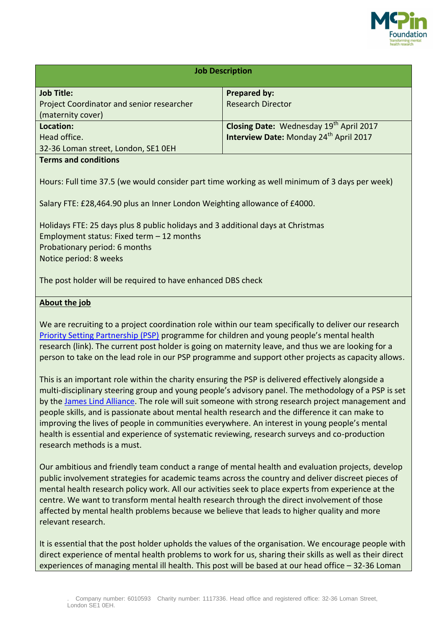

| <b>Job Description</b>                                                                         |                                                    |
|------------------------------------------------------------------------------------------------|----------------------------------------------------|
| <b>Job Title:</b>                                                                              | <b>Prepared by:</b>                                |
| Project Coordinator and senior researcher                                                      | <b>Research Director</b>                           |
| (maternity cover)                                                                              |                                                    |
| Location:                                                                                      | Closing Date: Wednesday 19th April 2017            |
| Head office.                                                                                   | Interview Date: Monday 24 <sup>th</sup> April 2017 |
| 32-36 Loman street, London, SE1 OEH                                                            |                                                    |
| <b>Terms and conditions</b>                                                                    |                                                    |
| Hours: Full time 37.5 (we would consider part time working as well minimum of 3 days per week) |                                                    |
| Salary FTE: £28,464.90 plus an Inner London Weighting allowance of £4000.                      |                                                    |

Holidays FTE: 25 days plus 8 public holidays and 3 additional days at Christmas Employment status: Fixed term – 12 months Probationary period: 6 months Notice period: 8 weeks

The post holder will be required to have enhanced DBS check

## **About the job**

We are recruiting to a project coordination role within our team specifically to deliver our research [Priority Setting Partnership \(PSP\)](http://mcpin.org/priorities-for-research-in-children-and-young-peoples-mental-health/) programme for children and young people's mental health research (link). The current post holder is going on maternity leave, and thus we are looking for a person to take on the lead role in our PSP programme and support other projects as capacity allows.

This is an important role within the charity ensuring the PSP is delivered effectively alongside a multi-disciplinary steering group and young people's advisory panel. The methodology of a PSP is set by the [James Lind Alliance.](http://www.jla.nihr.ac.uk/) The role will suit someone with strong research project management and people skills, and is passionate about mental health research and the difference it can make to improving the lives of people in communities everywhere. An interest in young people's mental health is essential and experience of systematic reviewing, research surveys and co-production research methods is a must.

Our ambitious and friendly team conduct a range of mental health and evaluation projects, develop public involvement strategies for academic teams across the country and deliver discreet pieces of mental health research policy work. All our activities seek to place experts from experience at the centre. We want to transform mental health research through the direct involvement of those affected by mental health problems because we believe that leads to higher quality and more relevant research.

It is essential that the post holder upholds the values of the organisation. We encourage people with direct experience of mental health problems to work for us, sharing their skills as well as their direct experiences of managing mental ill health. This post will be based at our head office – 32-36 Loman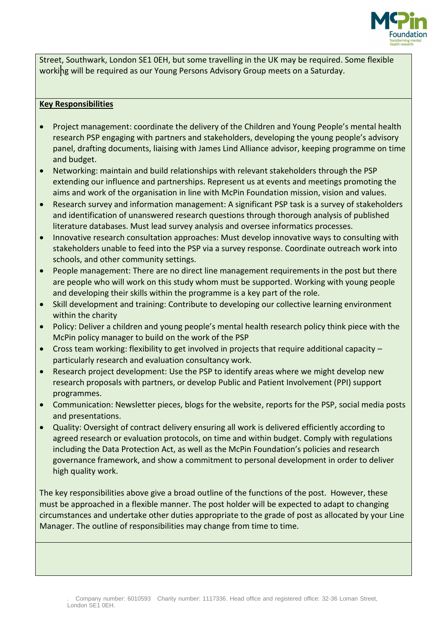

Street, Southwark, London SE1 0EH, but some travelling in the UK may be required. Some flexible working will be required as our Young Persons Advisory Group meets on a Saturday.

## **Key Responsibilities**

- Project management: coordinate the delivery of the Children and Young People's mental health research PSP engaging with partners and stakeholders, developing the young people's advisory panel, drafting documents, liaising with James Lind Alliance advisor, keeping programme on time and budget.
- Networking: maintain and build relationships with relevant stakeholders through the PSP extending our influence and partnerships. Represent us at events and meetings promoting the aims and work of the organisation in line with McPin Foundation mission, vision and values.
- Research survey and information management: A significant PSP task is a survey of stakeholders and identification of unanswered research questions through thorough analysis of published literature databases. Must lead survey analysis and oversee informatics processes.
- Innovative research consultation approaches: Must develop innovative ways to consulting with stakeholders unable to feed into the PSP via a survey response. Coordinate outreach work into schools, and other community settings.
- People management: There are no direct line management requirements in the post but there are people who will work on this study whom must be supported. Working with young people and developing their skills within the programme is a key part of the role.
- Skill development and training: Contribute to developing our collective learning environment within the charity
- Policy: Deliver a children and young people's mental health research policy think piece with the McPin policy manager to build on the work of the PSP
- Cross team working: flexibility to get involved in projects that require additional capacity particularly research and evaluation consultancy work.
- Research project development: Use the PSP to identify areas where we might develop new research proposals with partners, or develop Public and Patient Involvement (PPI) support programmes.
- Communication: Newsletter pieces, blogs for the website, reports for the PSP, social media posts and presentations.
- Quality: Oversight of contract delivery ensuring all work is delivered efficiently according to agreed research or evaluation protocols, on time and within budget. Comply with regulations including the Data Protection Act, as well as the McPin Foundation's policies and research governance framework, and show a commitment to personal development in order to deliver high quality work.

The key responsibilities above give a broad outline of the functions of the post. However, these must be approached in a flexible manner. The post holder will be expected to adapt to changing circumstances and undertake other duties appropriate to the grade of post as allocated by your Line Manager. The outline of responsibilities may change from time to time.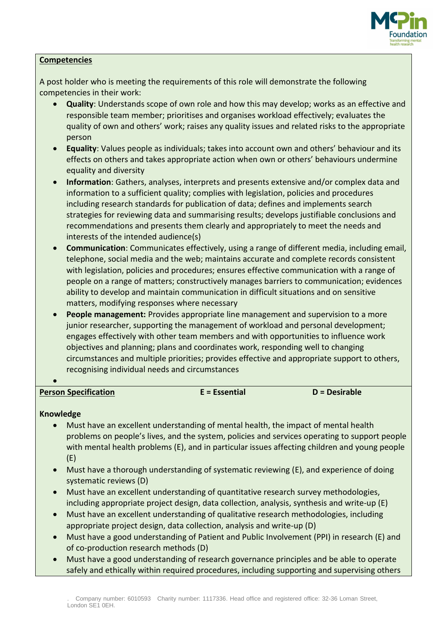

## **Competencies**

A post holder who is meeting the requirements of this role will demonstrate the following competencies in their work:

- **Quality**: Understands scope of own role and how this may develop; works as an effective and responsible team member; prioritises and organises workload effectively; evaluates the quality of own and others' work; raises any quality issues and related risks to the appropriate person
- **Equality**: Values people as individuals; takes into account own and others' behaviour and its effects on others and takes appropriate action when own or others' behaviours undermine equality and diversity
- **Information**: Gathers, analyses, interprets and presents extensive and/or complex data and information to a sufficient quality; complies with legislation, policies and procedures including research standards for publication of data; defines and implements search strategies for reviewing data and summarising results; develops justifiable conclusions and recommendations and presents them clearly and appropriately to meet the needs and interests of the intended audience(s)
- **Communication**: Communicates effectively, using a range of different media, including email, telephone, social media and the web; maintains accurate and complete records consistent with legislation, policies and procedures; ensures effective communication with a range of people on a range of matters; constructively manages barriers to communication; evidences ability to develop and maintain communication in difficult situations and on sensitive matters, modifying responses where necessary
- **People management:** Provides appropriate line management and supervision to a more junior researcher, supporting the management of workload and personal development; engages effectively with other team members and with opportunities to influence work objectives and planning; plans and coordinates work, responding well to changing circumstances and multiple priorities; provides effective and appropriate support to others, recognising individual needs and circumstances
- **Person Specification E = Essential D = Desirable**

# **Knowledge**

 $\bullet$ 

- Must have an excellent understanding of mental health, the impact of mental health problems on people's lives, and the system, policies and services operating to support people with mental health problems (E), and in particular issues affecting children and young people (E)
- Must have a thorough understanding of systematic reviewing (E), and experience of doing systematic reviews (D)
- Must have an excellent understanding of quantitative research survey methodologies, including appropriate project design, data collection, analysis, synthesis and write-up (E)
- Must have an excellent understanding of qualitative research methodologies, including appropriate project design, data collection, analysis and write-up (D)
- Must have a good understanding of Patient and Public Involvement (PPI) in research (E) and of co-production research methods (D)
- Must have a good understanding of research governance principles and be able to operate safely and ethically within required procedures, including supporting and supervising others